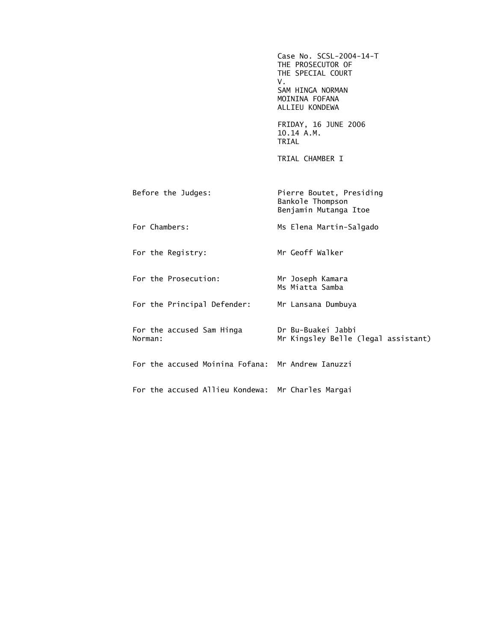Case No. SCSL-2004-14-T THE PROSECUTOR OF THE SPECIAL COURT V. SAM HINGA NORMAN MOININA FOFANA ALLIEU KONDEWA FRIDAY, 16 JUNE 2006 10.14 A.M. TRIAL TRIAL CHAMBER I Before the Judges: Pierre Boutet, Presiding Bankole Thompson Benjamin Mutanga Itoe For Chambers: Ms Elena Martin-Salgado For the Registry: Mr Geoff Walker For the Prosecution: Mr Joseph Kamara Ms Miatta Samba For the Principal Defender: Mr Lansana Dumbuya For the accused Sam Hinga Dr Bu-Buakei Jabbi Norman: Mr Kingsley Belle (legal assistant) For the accused Moinina Fofana: Mr Andrew Ianuzzi For the accused Allieu Kondewa: Mr Charles Margai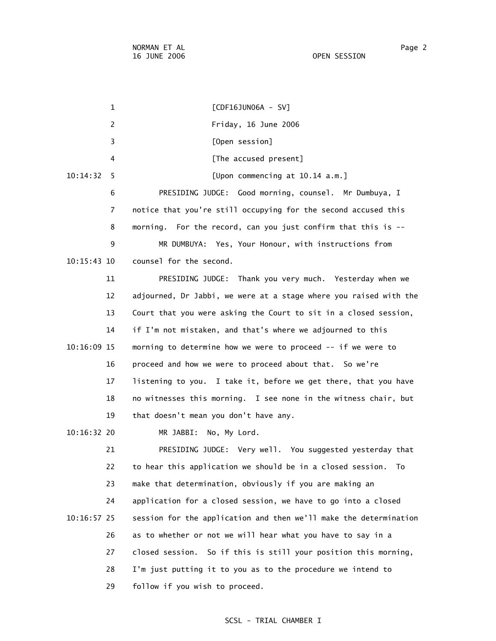1 [CDF16JUN06A - SV] 2 Friday, 16 June 2006 3 [Open session] 4 **A EXECUSE [The accused present]**  10:14:32 5 [Upon commencing at 10.14 a.m.] 6 PRESIDING JUDGE: Good morning, counsel. Mr Dumbuya, I 7 notice that you're still occupying for the second accused this 8 morning. For the record, can you just confirm that this is -- 9 MR DUMBUYA: Yes, Your Honour, with instructions from 10:15:43 10 counsel for the second. 11 PRESIDING JUDGE: Thank you very much. Yesterday when we 12 adjourned, Dr Jabbi, we were at a stage where you raised with the 13 Court that you were asking the Court to sit in a closed session, 14 if I'm not mistaken, and that's where we adjourned to this 10:16:09 15 morning to determine how we were to proceed -- if we were to 16 proceed and how we were to proceed about that. So we're 17 listening to you. I take it, before we get there, that you have 18 no witnesses this morning. I see none in the witness chair, but 19 that doesn't mean you don't have any. 10:16:32 20 MR JABBI: No, My Lord. 21 PRESIDING JUDGE: Very well. You suggested yesterday that 22 to hear this application we should be in a closed session. To 23 make that determination, obviously if you are making an 24 application for a closed session, we have to go into a closed 10:16:57 25 session for the application and then we'll make the determination 26 as to whether or not we will hear what you have to say in a 27 closed session. So if this is still your position this morning, 28 I'm just putting it to you as to the procedure we intend to 29 follow if you wish to proceed.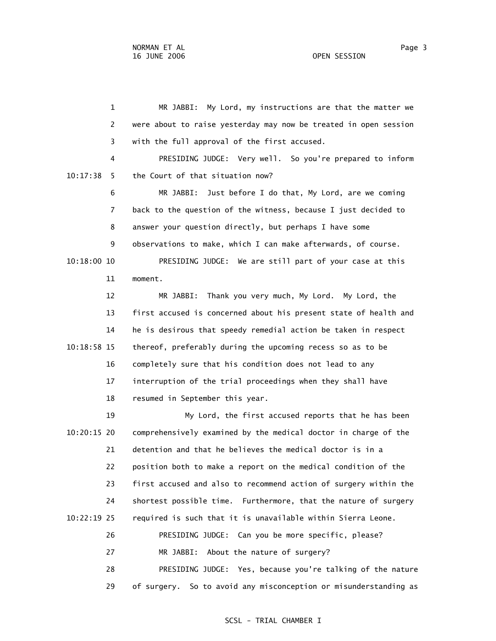1 MR JABBI: My Lord, my instructions are that the matter we 2 were about to raise yesterday may now be treated in open session 3 with the full approval of the first accused. 4 PRESIDING JUDGE: Very well. So you're prepared to inform 10:17:38 5 the Court of that situation now? 6 MR JABBI: Just before I do that, My Lord, are we coming 7 back to the question of the witness, because I just decided to 8 answer your question directly, but perhaps I have some 9 observations to make, which I can make afterwards, of course. 10:18:00 10 PRESIDING JUDGE: We are still part of your case at this 11 moment. 12 MR JABBI: Thank you very much, My Lord. My Lord, the 13 first accused is concerned about his present state of health and 14 he is desirous that speedy remedial action be taken in respect 10:18:58 15 thereof, preferably during the upcoming recess so as to be 16 completely sure that his condition does not lead to any 17 interruption of the trial proceedings when they shall have 18 resumed in September this year. 19 My Lord, the first accused reports that he has been 10:20:15 20 comprehensively examined by the medical doctor in charge of the 21 detention and that he believes the medical doctor is in a 22 position both to make a report on the medical condition of the 23 first accused and also to recommend action of surgery within the 24 shortest possible time. Furthermore, that the nature of surgery 10:22:19 25 required is such that it is unavailable within Sierra Leone. 26 PRESIDING JUDGE: Can you be more specific, please? 27 MR JABBI: About the nature of surgery? 28 PRESIDING JUDGE: Yes, because you're talking of the nature 29 of surgery. So to avoid any misconception or misunderstanding as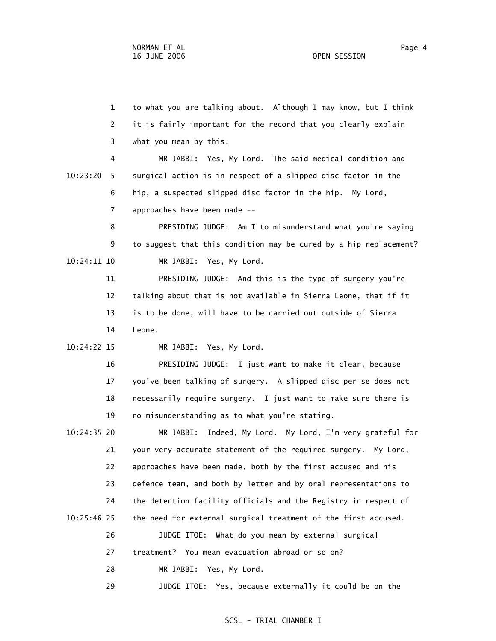1 to what you are talking about. Although I may know, but I think 2 it is fairly important for the record that you clearly explain 3 what you mean by this.

 4 MR JABBI: Yes, My Lord. The said medical condition and 10:23:20 5 surgical action is in respect of a slipped disc factor in the 6 hip, a suspected slipped disc factor in the hip. My Lord, 7 approaches have been made --

 8 PRESIDING JUDGE: Am I to misunderstand what you're saying 9 to suggest that this condition may be cured by a hip replacement? 10:24:11 10 MR JABBI: Yes, My Lord.

 11 PRESIDING JUDGE: And this is the type of surgery you're 12 talking about that is not available in Sierra Leone, that if it 13 is to be done, will have to be carried out outside of Sierra 14 Leone.

10:24:22 15 MR JABBI: Yes, My Lord.

 16 PRESIDING JUDGE: I just want to make it clear, because 17 you've been talking of surgery. A slipped disc per se does not 18 necessarily require surgery. I just want to make sure there is 19 no misunderstanding as to what you're stating.

 10:24:35 20 MR JABBI: Indeed, My Lord. My Lord, I'm very grateful for 21 your very accurate statement of the required surgery. My Lord, 22 approaches have been made, both by the first accused and his 23 defence team, and both by letter and by oral representations to 24 the detention facility officials and the Registry in respect of 10:25:46 25 the need for external surgical treatment of the first accused. 26 JUDGE ITOE: What do you mean by external surgical 27 treatment? You mean evacuation abroad or so on? 28 MR JABBI: Yes, My Lord.

29 JUDGE ITOE: Yes, because externally it could be on the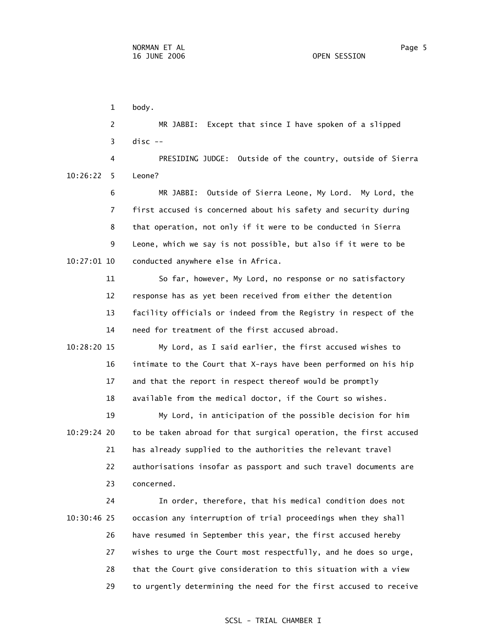1 body. 2 MR JABBI: Except that since I have spoken of a slipped  $3$  disc  $-$  4 PRESIDING JUDGE: Outside of the country, outside of Sierra 10:26:22 5 Leone? 6 MR JABBI: Outside of Sierra Leone, My Lord. My Lord, the 7 first accused is concerned about his safety and security during 8 that operation, not only if it were to be conducted in Sierra 9 Leone, which we say is not possible, but also if it were to be 10:27:01 10 conducted anywhere else in Africa. 11 So far, however, My Lord, no response or no satisfactory 12 response has as yet been received from either the detention 13 facility officials or indeed from the Registry in respect of the 14 need for treatment of the first accused abroad. 10:28:20 15 My Lord, as I said earlier, the first accused wishes to 16 intimate to the Court that X-rays have been performed on his hip 17 and that the report in respect thereof would be promptly 18 available from the medical doctor, if the Court so wishes. 19 My Lord, in anticipation of the possible decision for him 10:29:24 20 to be taken abroad for that surgical operation, the first accused 21 has already supplied to the authorities the relevant travel 22 authorisations insofar as passport and such travel documents are 23 concerned. 24 In order, therefore, that his medical condition does not

 10:30:46 25 occasion any interruption of trial proceedings when they shall 26 have resumed in September this year, the first accused hereby 27 wishes to urge the Court most respectfully, and he does so urge, 28 that the Court give consideration to this situation with a view 29 to urgently determining the need for the first accused to receive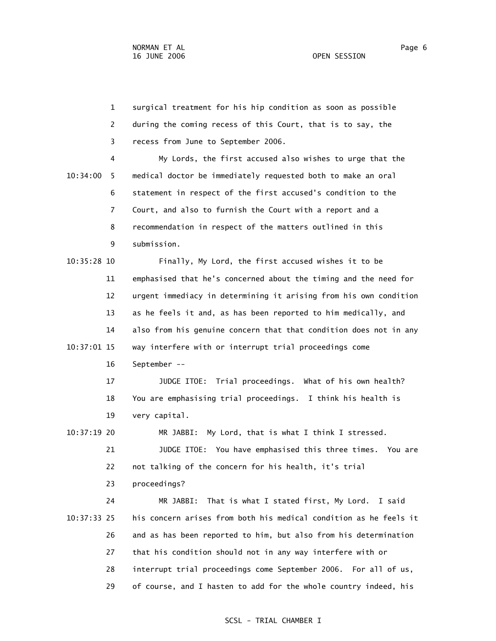1 surgical treatment for his hip condition as soon as possible 2 during the coming recess of this Court, that is to say, the 3 recess from June to September 2006. 4 My Lords, the first accused also wishes to urge that the 10:34:00 5 medical doctor be immediately requested both to make an oral 6 statement in respect of the first accused's condition to the

> 8 recommendation in respect of the matters outlined in this 9 submission.

7 Court, and also to furnish the Court with a report and a

 10:35:28 10 Finally, My Lord, the first accused wishes it to be 11 emphasised that he's concerned about the timing and the need for 12 urgent immediacy in determining it arising from his own condition 13 as he feels it and, as has been reported to him medically, and 14 also from his genuine concern that that condition does not in any 10:37:01 15 way interfere with or interrupt trial proceedings come 16 September --

 17 JUDGE ITOE: Trial proceedings. What of his own health? 18 You are emphasising trial proceedings. I think his health is 19 very capital.

 10:37:19 20 MR JABBI: My Lord, that is what I think I stressed. 21 JUDGE ITOE: You have emphasised this three times. You are 22 not talking of the concern for his health, it's trial

23 proceedings?

 24 MR JABBI: That is what I stated first, My Lord. I said 10:37:33 25 his concern arises from both his medical condition as he feels it 26 and as has been reported to him, but also from his determination 27 that his condition should not in any way interfere with or 28 interrupt trial proceedings come September 2006. For all of us, 29 of course, and I hasten to add for the whole country indeed, his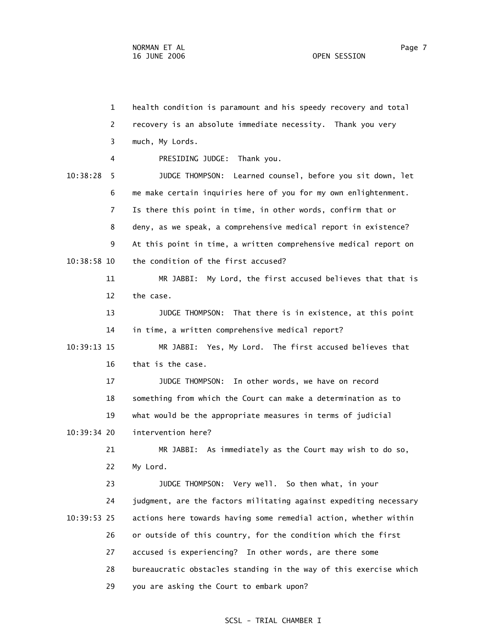1 health condition is paramount and his speedy recovery and total 2 recovery is an absolute immediate necessity. Thank you very 3 much, My Lords. 4 PRESIDING JUDGE: Thank you. 10:38:28 5 JUDGE THOMPSON: Learned counsel, before you sit down, let 6 me make certain inquiries here of you for my own enlightenment. 7 Is there this point in time, in other words, confirm that or 8 deny, as we speak, a comprehensive medical report in existence? 9 At this point in time, a written comprehensive medical report on 10:38:58 10 the condition of the first accused? 11 MR JABBI: My Lord, the first accused believes that that is 12 the case. 13 JUDGE THOMPSON: That there is in existence, at this point 14 in time, a written comprehensive medical report? 10:39:13 15 MR JABBI: Yes, My Lord. The first accused believes that 16 that is the case. 17 JUDGE THOMPSON: In other words, we have on record 18 something from which the Court can make a determination as to 19 what would be the appropriate measures in terms of judicial 10:39:34 20 intervention here? 21 MR JABBI: As immediately as the Court may wish to do so, 22 My Lord. 23 JUDGE THOMPSON: Very well. So then what, in your 24 judgment, are the factors militating against expediting necessary 10:39:53 25 actions here towards having some remedial action, whether within 26 or outside of this country, for the condition which the first 27 accused is experiencing? In other words, are there some 28 bureaucratic obstacles standing in the way of this exercise which 29 you are asking the Court to embark upon?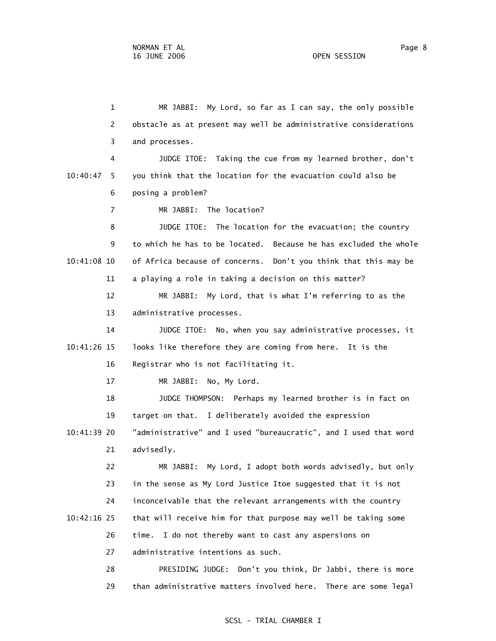1 MR JABBI: My Lord, so far as I can say, the only possible 2 obstacle as at present may well be administrative considerations 3 and processes. 4 JUDGE ITOE: Taking the cue from my learned brother, don't 10:40:47 5 you think that the location for the evacuation could also be 6 posing a problem? 7 MR JABBI: The location? 8 JUDGE ITOE: The location for the evacuation; the country 9 to which he has to be located. Because he has excluded the whole 10:41:08 10 of Africa because of concerns. Don't you think that this may be 11 a playing a role in taking a decision on this matter? 12 MR JABBI: My Lord, that is what I'm referring to as the 13 administrative processes. 14 JUDGE ITOE: No, when you say administrative processes, it 10:41:26 15 looks like therefore they are coming from here. It is the 16 Registrar who is not facilitating it. 17 MR JABBI: No, My Lord. 18 JUDGE THOMPSON: Perhaps my learned brother is in fact on 19 target on that. I deliberately avoided the expression 10:41:39 20 "administrative" and I used "bureaucratic", and I used that word 21 advisedly. 22 MR JABBI: My Lord, I adopt both words advisedly, but only 23 in the sense as My Lord Justice Itoe suggested that it is not 24 inconceivable that the relevant arrangements with the country 10:42:16 25 that will receive him for that purpose may well be taking some 26 time. I do not thereby want to cast any aspersions on 27 administrative intentions as such. 28 PRESIDING JUDGE: Don't you think, Dr Jabbi, there is more 29 than administrative matters involved here. There are some legal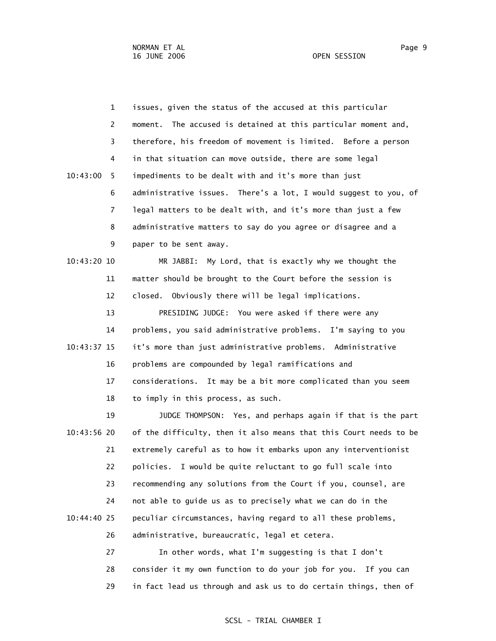1 issues, given the status of the accused at this particular 2 moment. The accused is detained at this particular moment and, 3 therefore, his freedom of movement is limited. Before a person 4 in that situation can move outside, there are some legal 10:43:00 5 impediments to be dealt with and it's more than just 6 administrative issues. There's a lot, I would suggest to you, of 7 legal matters to be dealt with, and it's more than just a few 8 administrative matters to say do you agree or disagree and a 9 paper to be sent away.

 10:43:20 10 MR JABBI: My Lord, that is exactly why we thought the 11 matter should be brought to the Court before the session is 12 closed. Obviously there will be legal implications.

 13 PRESIDING JUDGE: You were asked if there were any 14 problems, you said administrative problems. I'm saying to you 10:43:37 15 it's more than just administrative problems. Administrative 16 problems are compounded by legal ramifications and 17 considerations. It may be a bit more complicated than you seem 18 to imply in this process, as such.

 19 JUDGE THOMPSON: Yes, and perhaps again if that is the part 10:43:56 20 of the difficulty, then it also means that this Court needs to be 21 extremely careful as to how it embarks upon any interventionist 22 policies. I would be quite reluctant to go full scale into 23 recommending any solutions from the Court if you, counsel, are 24 not able to guide us as to precisely what we can do in the 10:44:40 25 peculiar circumstances, having regard to all these problems, 26 administrative, bureaucratic, legal et cetera.

> 27 In other words, what I'm suggesting is that I don't 28 consider it my own function to do your job for you. If you can 29 in fact lead us through and ask us to do certain things, then of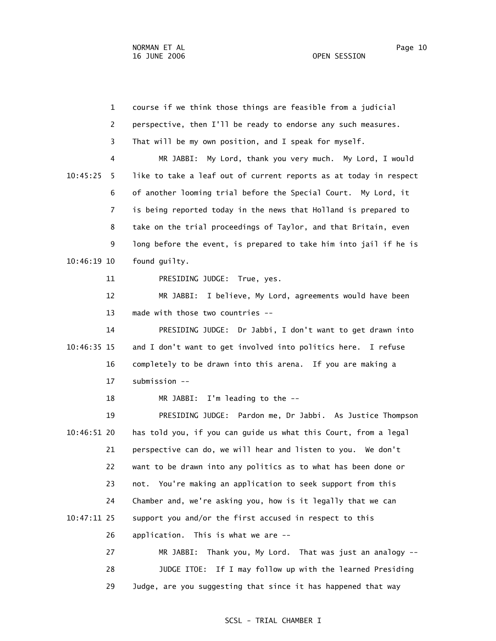| $\mathbf 1$    | course if we think those things are feasible from a judicial      |
|----------------|-------------------------------------------------------------------|
| $\overline{2}$ | perspective, then I'll be ready to endorse any such measures.     |
| 3              | That will be my own position, and I speak for myself.             |
| 4              | My Lord, thank you very much. My Lord, I would<br>MR JABBI:       |
| 10:45:25<br>5  | like to take a leaf out of current reports as at today in respect |
| 6              | of another looming trial before the Special Court. My Lord, it    |
| 7              | is being reported today in the news that Holland is prepared to   |
| 8              | take on the trial proceedings of Taylor, and that Britain, even   |
| 9              | long before the event, is prepared to take him into jail if he is |
| $10:46:19$ 10  | found guilty.                                                     |
| 11             | PRESIDING JUDGE: True, yes.                                       |
| 12             | I believe, My Lord, agreements would have been<br>MR JABBI:       |
| 13             | made with those two countries --                                  |
| 14             | PRESIDING JUDGE: Dr Jabbi, I don't want to get drawn into         |
| 10:46:35 15    | and I don't want to get involved into politics here. I refuse     |
| 16             | completely to be drawn into this arena. If you are making a       |
| 17             | submission --                                                     |
| 18             | I'm leading to the --<br>MR JABBI:                                |
| 19             | PRESIDING JUDGE: Pardon me, Dr Jabbi. As Justice Thompson         |
| 10:46:51 20    | has told you, if you can guide us what this Court, from a legal   |
| 21             | perspective can do, we will hear and listen to you. We don't      |
| 22             | want to be drawn into any politics as to what has been done or    |
| 23             | You're making an application to seek support from this<br>not.    |
| 24             | Chamber and, we're asking you, how is it legally that we can      |
| 10:47:11 25    | support you and/or the first accused in respect to this           |
| 26             | application.<br>This is what we are --                            |
| 27             | Thank you, My Lord. That was just an analogy --<br>MR JABBI:      |
| 28             | JUDGE ITOE: If I may follow up with the learned Presiding         |

29 Judge, are you suggesting that since it has happened that way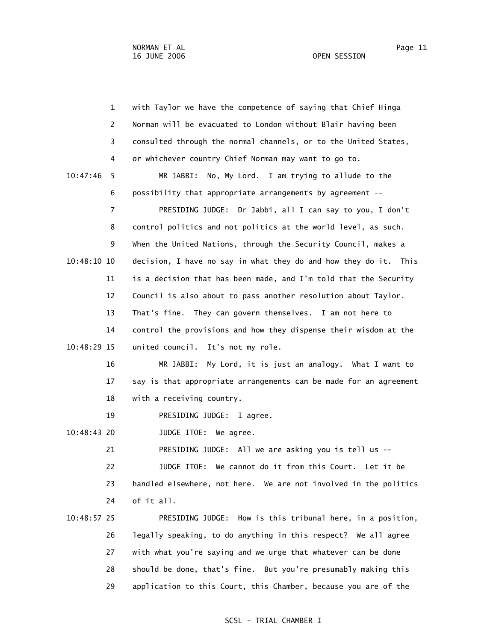1 with Taylor we have the competence of saying that Chief Hinga 2 Norman will be evacuated to London without Blair having been 3 consulted through the normal channels, or to the United States, 4 or whichever country Chief Norman may want to go to. 10:47:46 5 MR JABBI: No, My Lord. I am trying to allude to the 6 possibility that appropriate arrangements by agreement -- 7 PRESIDING JUDGE: Dr Jabbi, all I can say to you, I don't 8 control politics and not politics at the world level, as such. 9 When the United Nations, through the Security Council, makes a 10:48:10 10 decision, I have no say in what they do and how they do it. This 11 is a decision that has been made, and I'm told that the Security 12 Council is also about to pass another resolution about Taylor. 13 That's fine. They can govern themselves. I am not here to 14 control the provisions and how they dispense their wisdom at the 10:48:29 15 united council. It's not my role. 16 MR JABBI: My Lord, it is just an analogy. What I want to 17 say is that appropriate arrangements can be made for an agreement 18 with a receiving country. 19 PRESIDING JUDGE: I agree. 10:48:43 20 JUDGE ITOE: We agree. 21 PRESIDING JUDGE: All we are asking you is tell us -- 22 JUDGE ITOE: We cannot do it from this Court. Let it be 23 handled elsewhere, not here. We are not involved in the politics 24 of it all. 10:48:57 25 PRESIDING JUDGE: How is this tribunal here, in a position, 26 legally speaking, to do anything in this respect? We all agree 27 with what you're saying and we urge that whatever can be done 28 should be done, that's fine. But you're presumably making this

29 application to this Court, this Chamber, because you are of the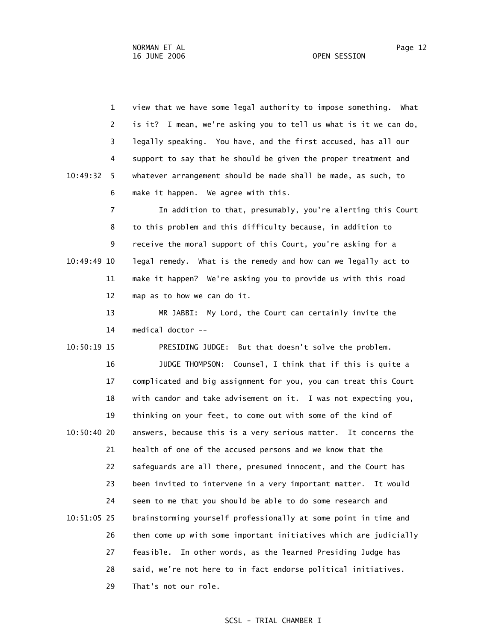1 view that we have some legal authority to impose something. What 2 is it? I mean, we're asking you to tell us what is it we can do, 3 legally speaking. You have, and the first accused, has all our 4 support to say that he should be given the proper treatment and 10:49:32 5 whatever arrangement should be made shall be made, as such, to 6 make it happen. We agree with this.

 7 In addition to that, presumably, you're alerting this Court 8 to this problem and this difficulty because, in addition to 9 receive the moral support of this Court, you're asking for a 10:49:49 10 legal remedy. What is the remedy and how can we legally act to 11 make it happen? We're asking you to provide us with this road 12 map as to how we can do it.

> 13 MR JABBI: My Lord, the Court can certainly invite the 14 medical doctor --

 10:50:19 15 PRESIDING JUDGE: But that doesn't solve the problem. 16 JUDGE THOMPSON: Counsel, I think that if this is quite a 17 complicated and big assignment for you, you can treat this Court 18 with candor and take advisement on it. I was not expecting you, 19 thinking on your feet, to come out with some of the kind of 10:50:40 20 answers, because this is a very serious matter. It concerns the 21 health of one of the accused persons and we know that the 22 safeguards are all there, presumed innocent, and the Court has 23 been invited to intervene in a very important matter. It would 24 seem to me that you should be able to do some research and 10:51:05 25 brainstorming yourself professionally at some point in time and 26 then come up with some important initiatives which are judicially 27 feasible. In other words, as the learned Presiding Judge has 28 said, we're not here to in fact endorse political initiatives. 29 That's not our role.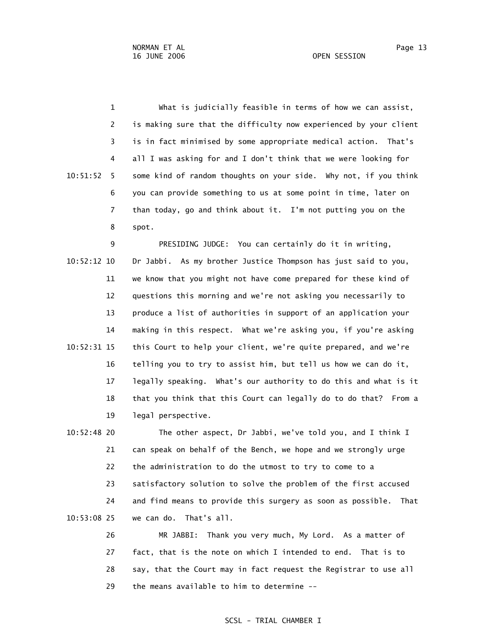1 What is judicially feasible in terms of how we can assist, 2 is making sure that the difficulty now experienced by your client 3 is in fact minimised by some appropriate medical action. That's 4 all I was asking for and I don't think that we were looking for 10:51:52 5 some kind of random thoughts on your side. Why not, if you think 6 you can provide something to us at some point in time, later on 7 than today, go and think about it. I'm not putting you on the 8 spot.

 9 PRESIDING JUDGE: You can certainly do it in writing, 10:52:12 10 Dr Jabbi. As my brother Justice Thompson has just said to you, 11 we know that you might not have come prepared for these kind of 12 questions this morning and we're not asking you necessarily to 13 produce a list of authorities in support of an application your 14 making in this respect. What we're asking you, if you're asking 10:52:31 15 this Court to help your client, we're quite prepared, and we're 16 telling you to try to assist him, but tell us how we can do it, 17 legally speaking. What's our authority to do this and what is it 18 that you think that this Court can legally do to do that? From a 19 legal perspective.

 10:52:48 20 The other aspect, Dr Jabbi, we've told you, and I think I 21 can speak on behalf of the Bench, we hope and we strongly urge 22 the administration to do the utmost to try to come to a 23 satisfactory solution to solve the problem of the first accused 24 and find means to provide this surgery as soon as possible. That 10:53:08 25 we can do. That's all.

> 26 MR JABBI: Thank you very much, My Lord. As a matter of 27 fact, that is the note on which I intended to end. That is to 28 say, that the Court may in fact request the Registrar to use all 29 the means available to him to determine --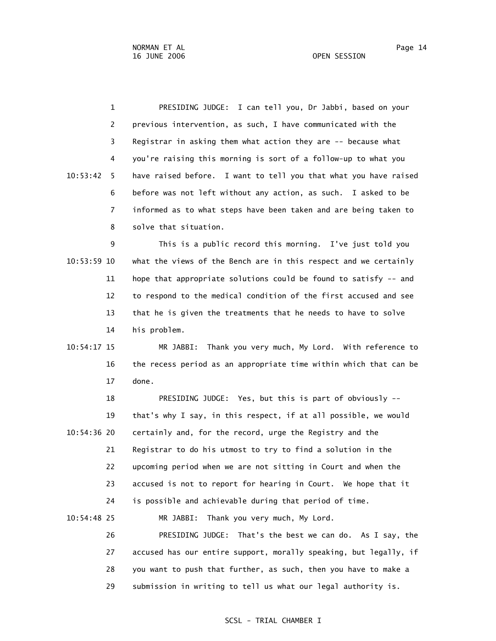1 PRESIDING JUDGE: I can tell you, Dr Jabbi, based on your 2 previous intervention, as such, I have communicated with the 3 Registrar in asking them what action they are -- because what 4 you're raising this morning is sort of a follow-up to what you 10:53:42 5 have raised before. I want to tell you that what you have raised 6 before was not left without any action, as such. I asked to be 7 informed as to what steps have been taken and are being taken to 8 solve that situation.

 9 This is a public record this morning. I've just told you 10:53:59 10 what the views of the Bench are in this respect and we certainly 11 hope that appropriate solutions could be found to satisfy -- and 12 to respond to the medical condition of the first accused and see 13 that he is given the treatments that he needs to have to solve 14 his problem.

 10:54:17 15 MR JABBI: Thank you very much, My Lord. With reference to 16 the recess period as an appropriate time within which that can be 17 done.

 18 PRESIDING JUDGE: Yes, but this is part of obviously -- 19 that's why I say, in this respect, if at all possible, we would 10:54:36 20 certainly and, for the record, urge the Registry and the 21 Registrar to do his utmost to try to find a solution in the 22 upcoming period when we are not sitting in Court and when the 23 accused is not to report for hearing in Court. We hope that it 24 is possible and achievable during that period of time.

10:54:48 25 MR JABBI: Thank you very much, My Lord.

 26 PRESIDING JUDGE: That's the best we can do. As I say, the 27 accused has our entire support, morally speaking, but legally, if 28 you want to push that further, as such, then you have to make a 29 submission in writing to tell us what our legal authority is.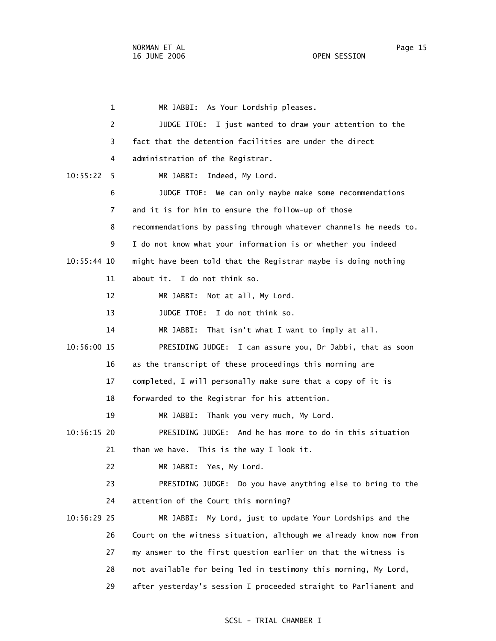1 MR JABBI: As Your Lordship pleases. 2 JUDGE ITOE: I just wanted to draw your attention to the 3 fact that the detention facilities are under the direct 4 administration of the Registrar. 10:55:22 5 MR JABBI: Indeed, My Lord. 6 JUDGE ITOE: We can only maybe make some recommendations 7 and it is for him to ensure the follow-up of those 8 recommendations by passing through whatever channels he needs to. 9 I do not know what your information is or whether you indeed 10:55:44 10 might have been told that the Registrar maybe is doing nothing 11 about it. I do not think so. 12 MR JABBI: Not at all, My Lord. 13 JUDGE ITOE: I do not think so. 14 MR JABBI: That isn't what I want to imply at all. 10:56:00 15 PRESIDING JUDGE: I can assure you, Dr Jabbi, that as soon 16 as the transcript of these proceedings this morning are 17 completed, I will personally make sure that a copy of it is 18 forwarded to the Registrar for his attention. 19 MR JABBI: Thank you very much, My Lord. 10:56:15 20 PRESIDING JUDGE: And he has more to do in this situation 21 than we have. This is the way I look it. 22 MR JABBI: Yes, My Lord. 23 PRESIDING JUDGE: Do you have anything else to bring to the 24 attention of the Court this morning? 10:56:29 25 MR JABBI: My Lord, just to update Your Lordships and the 26 Court on the witness situation, although we already know now from 27 my answer to the first question earlier on that the witness is 28 not available for being led in testimony this morning, My Lord, 29 after yesterday's session I proceeded straight to Parliament and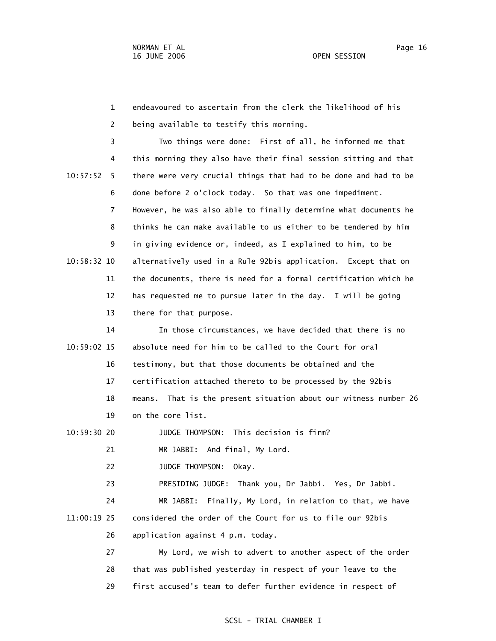1 endeavoured to ascertain from the clerk the likelihood of his 2 being available to testify this morning. 3 Two things were done: First of all, he informed me that 4 this morning they also have their final session sitting and that 10:57:52 5 there were very crucial things that had to be done and had to be 6 done before 2 o'clock today. So that was one impediment. 7 However, he was also able to finally determine what documents he 8 thinks he can make available to us either to be tendered by him 9 in giving evidence or, indeed, as I explained to him, to be 10:58:32 10 alternatively used in a Rule 92bis application. Except that on 11 the documents, there is need for a formal certification which he 12 has requested me to pursue later in the day. I will be going 13 there for that purpose. 14 In those circumstances, we have decided that there is no 10:59:02 15 absolute need for him to be called to the Court for oral

 16 testimony, but that those documents be obtained and the 17 certification attached thereto to be processed by the 92bis 18 means. That is the present situation about our witness number 26 19 on the core list.

10:59:30 20 JUDGE THOMPSON: This decision is firm?

21 MR JABBI: And final, My Lord.

22 JUDGE THOMPSON: Okay.

23 PRESIDING JUDGE: Thank you, Dr Jabbi. Yes, Dr Jabbi.

 24 MR JABBI: Finally, My Lord, in relation to that, we have 11:00:19 25 considered the order of the Court for us to file our 92bis

26 application against 4 p.m. today.

 27 My Lord, we wish to advert to another aspect of the order 28 that was published yesterday in respect of your leave to the 29 first accused's team to defer further evidence in respect of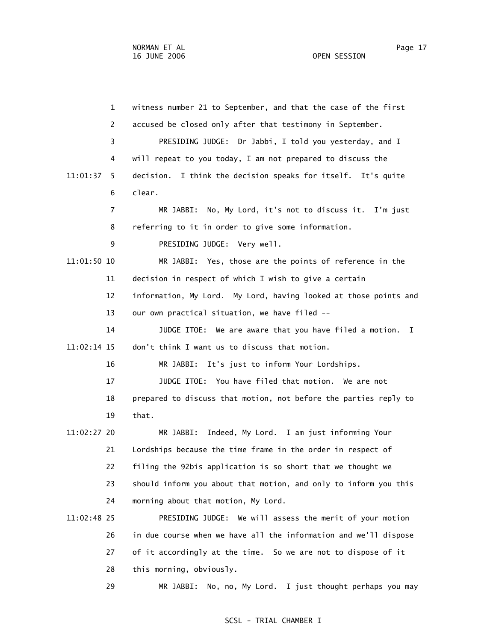1 witness number 21 to September, and that the case of the first 2 accused be closed only after that testimony in September. 3 PRESIDING JUDGE: Dr Jabbi, I told you yesterday, and I 4 will repeat to you today, I am not prepared to discuss the 11:01:37 5 decision. I think the decision speaks for itself. It's quite 6 clear. 7 MR JABBI: No, My Lord, it's not to discuss it. I'm just 8 referring to it in order to give some information. 9 PRESIDING JUDGE: Very well. 11:01:50 10 MR JABBI: Yes, those are the points of reference in the 11 decision in respect of which I wish to give a certain 12 information, My Lord. My Lord, having looked at those points and 13 our own practical situation, we have filed -- 14 JUDGE ITOE: We are aware that you have filed a motion. I 11:02:14 15 don't think I want us to discuss that motion. 16 MR JABBI: It's just to inform Your Lordships. 17 JUDGE ITOE: You have filed that motion. We are not 18 prepared to discuss that motion, not before the parties reply to 19 that. 11:02:27 20 MR JABBI: Indeed, My Lord. I am just informing Your 21 Lordships because the time frame in the order in respect of 22 filing the 92bis application is so short that we thought we 23 should inform you about that motion, and only to inform you this 24 morning about that motion, My Lord. 11:02:48 25 PRESIDING JUDGE: We will assess the merit of your motion 26 in due course when we have all the information and we'll dispose 27 of it accordingly at the time. So we are not to dispose of it 28 this morning, obviously.

29 MR JABBI: No, no, My Lord. I just thought perhaps you may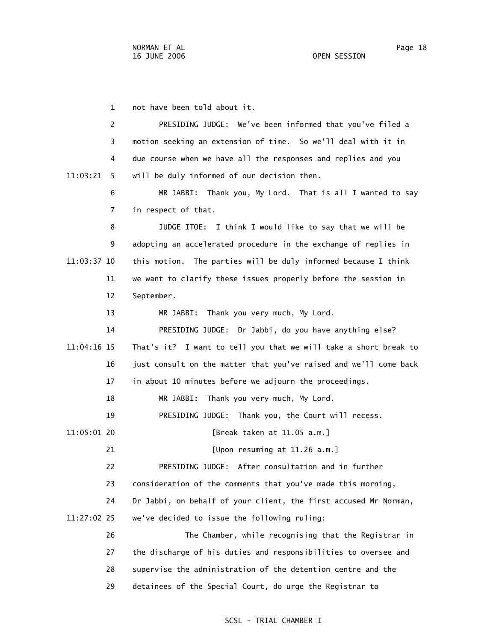1 not have been told about it. 2 PRESIDING JUDGE: We've been informed that you've filed a 3 motion seeking an extension of time. So we'll deal with it in 4 due course when we have all the responses and replies and you 11:03:21 5 will be duly informed of our decision then. 6 MR JABBI: Thank you, My Lord. That is all I wanted to say 7 in respect of that. 8 JUDGE ITOE: I think I would like to say that we will be 9 adopting an accelerated procedure in the exchange of replies in 11:03:37 10 this motion. The parties will be duly informed because I think 11 we want to clarify these issues properly before the session in 12 September. 13 MR JABBI: Thank you very much, My Lord. 14 PRESIDING JUDGE: Dr Jabbi, do you have anything else? 11:04:16 15 That's it? I want to tell you that we will take a short break to 16 just consult on the matter that you've raised and we'll come back 17 in about 10 minutes before we adjourn the proceedings. 18 MR JABBI: Thank you very much, My Lord. 19 PRESIDING JUDGE: Thank you, the Court will recess. 11:05:01 20 [Break taken at 11.05 a.m.] 21 [Upon resuming at 11.26 a.m.] 22 PRESIDING JUDGE: After consultation and in further 23 consideration of the comments that you've made this morning, 24 Dr Jabbi, on behalf of your client, the first accused Mr Norman, 11:27:02 25 we've decided to issue the following ruling: 26 The Chamber, while recognising that the Registrar in 27 the discharge of his duties and responsibilities to oversee and 28 supervise the administration of the detention centre and the

## SCSL - TRIAL CHAMBER I

29 detainees of the Special Court, do urge the Registrar to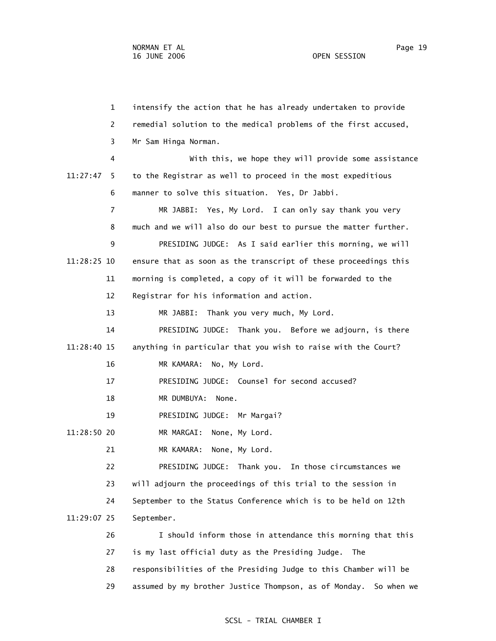1 intensify the action that he has already undertaken to provide 2 remedial solution to the medical problems of the first accused, 3 Mr Sam Hinga Norman. 4 With this, we hope they will provide some assistance 11:27:47 5 to the Registrar as well to proceed in the most expeditious 6 manner to solve this situation. Yes, Dr Jabbi. 7 MR JABBI: Yes, My Lord. I can only say thank you very 8 much and we will also do our best to pursue the matter further. 9 PRESIDING JUDGE: As I said earlier this morning, we will 11:28:25 10 ensure that as soon as the transcript of these proceedings this 11 morning is completed, a copy of it will be forwarded to the 12 Registrar for his information and action. 13 MR JABBI: Thank you very much, My Lord. 14 PRESIDING JUDGE: Thank you. Before we adjourn, is there 11:28:40 15 anything in particular that you wish to raise with the Court? 16 MR KAMARA: No, My Lord. 17 PRESIDING JUDGE: Counsel for second accused? 18 MR DUMBUYA: None. 19 PRESIDING JUDGE: Mr Margai? 11:28:50 20 MR MARGAI: None, My Lord. 21 MR KAMARA: None, My Lord. 22 PRESIDING JUDGE: Thank you. In those circumstances we 23 will adjourn the proceedings of this trial to the session in 24 September to the Status Conference which is to be held on 12th 11:29:07 25 September. 26 I should inform those in attendance this morning that this 27 is my last official duty as the Presiding Judge. The 28 responsibilities of the Presiding Judge to this Chamber will be 29 assumed by my brother Justice Thompson, as of Monday. So when we